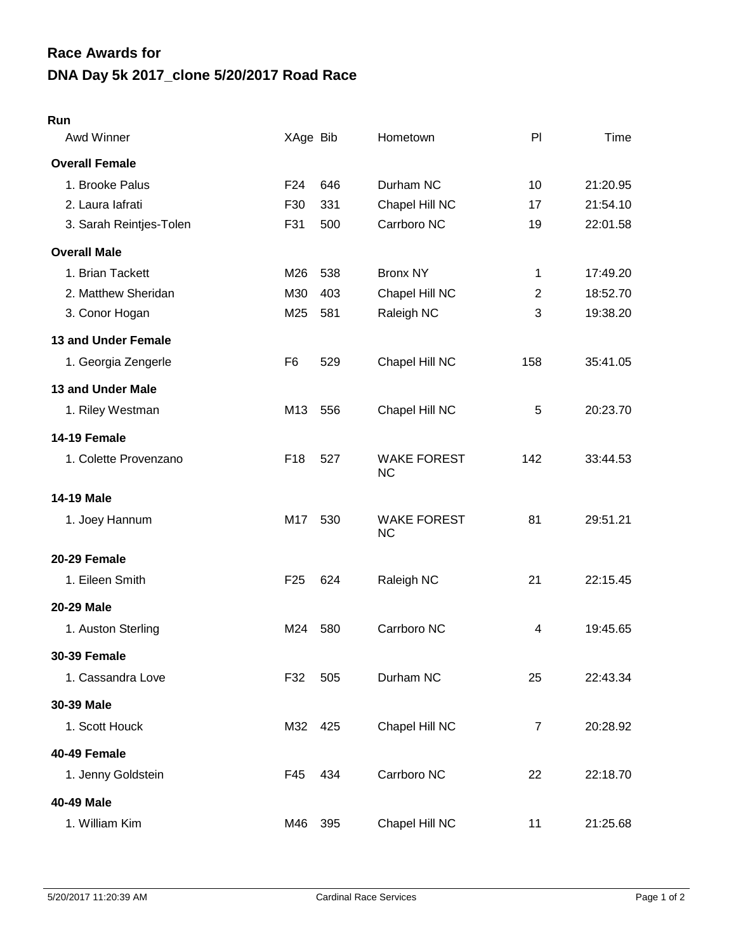## **DNA Day 5k 2017\_clone 5/20/2017 Road Race Race Awards for**

## **Run**

| Awd Winner              | XAge Bib        |     | Hometown                        | P                | Time     |
|-------------------------|-----------------|-----|---------------------------------|------------------|----------|
| <b>Overall Female</b>   |                 |     |                                 |                  |          |
| 1. Brooke Palus         | F <sub>24</sub> | 646 | Durham NC                       | 10               | 21:20.95 |
| 2. Laura lafrati        | F30             | 331 | Chapel Hill NC                  | 17               | 21:54.10 |
| 3. Sarah Reintjes-Tolen | F31             | 500 | Carrboro NC                     | 19               | 22:01.58 |
| <b>Overall Male</b>     |                 |     |                                 |                  |          |
| 1. Brian Tackett        | M26             | 538 | <b>Bronx NY</b>                 | 1                | 17:49.20 |
| 2. Matthew Sheridan     | M30             | 403 | Chapel Hill NC                  | $\overline{2}$   | 18:52.70 |
| 3. Conor Hogan          | M25             | 581 | Raleigh NC                      | 3                | 19:38.20 |
| 13 and Under Female     |                 |     |                                 |                  |          |
| 1. Georgia Zengerle     | F <sub>6</sub>  | 529 | Chapel Hill NC                  | 158              | 35:41.05 |
| 13 and Under Male       |                 |     |                                 |                  |          |
| 1. Riley Westman        | M13             | 556 | Chapel Hill NC                  | 5                | 20:23.70 |
| 14-19 Female            |                 |     |                                 |                  |          |
| 1. Colette Provenzano   | F18             | 527 | <b>WAKE FOREST</b><br><b>NC</b> | 142              | 33:44.53 |
| <b>14-19 Male</b>       |                 |     |                                 |                  |          |
| 1. Joey Hannum          | M17             | 530 | <b>WAKE FOREST</b><br><b>NC</b> | 81               | 29:51.21 |
| 20-29 Female            |                 |     |                                 |                  |          |
| 1. Eileen Smith         | F <sub>25</sub> | 624 | Raleigh NC                      | 21               | 22:15.45 |
| 20-29 Male              |                 |     |                                 |                  |          |
| 1. Auston Sterling      | M24             | 580 | Carrboro NC                     | 4                | 19:45.65 |
| <b>30-39 Female</b>     |                 |     |                                 |                  |          |
| 1. Cassandra Love       | F32             | 505 | Durham NC                       | 25               | 22:43.34 |
| 30-39 Male              |                 |     |                                 |                  |          |
| 1. Scott Houck          | M32 425         |     | Chapel Hill NC                  | $\boldsymbol{7}$ | 20:28.92 |
| 40-49 Female            |                 |     |                                 |                  |          |
| 1. Jenny Goldstein      | F45             | 434 | Carrboro NC                     | 22               | 22:18.70 |
| 40-49 Male              |                 |     |                                 |                  |          |
| 1. William Kim          | M46             | 395 | Chapel Hill NC                  | 11               | 21:25.68 |